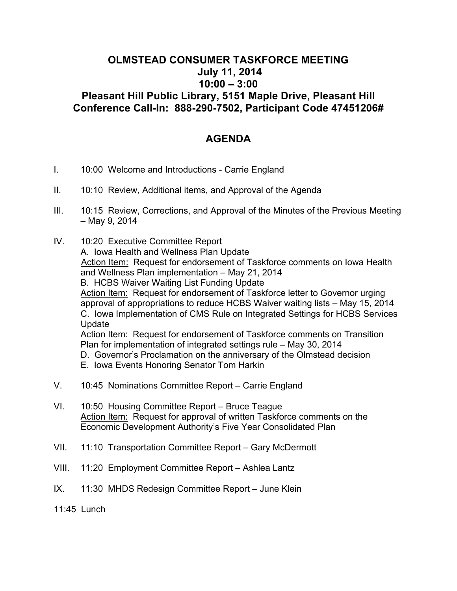## **OLMSTEAD CONSUMER TASKFORCE MEETING July 11, 2014 10:00 – 3:00 Pleasant Hill Public Library, 5151 Maple Drive, Pleasant Hill Conference Call-In: 888-290-7502, Participant Code 47451206#**

## **AGENDA**

- I. 10:00 Welcome and Introductions Carrie England
- II. 10:10 Review, Additional items, and Approval of the Agenda
- III. 10:15 Review, Corrections, and Approval of the Minutes of the Previous Meeting – May 9, 2014
- IV. 10:20 Executive Committee Report A. Iowa Health and Wellness Plan Update Action Item: Request for endorsement of Taskforce comments on Iowa Health and Wellness Plan implementation – May 21, 2014 B. HCBS Waiver Waiting List Funding Update Action Item: Request for endorsement of Taskforce letter to Governor urging approval of appropriations to reduce HCBS Waiver waiting lists – May 15, 2014 C. Iowa Implementation of CMS Rule on Integrated Settings for HCBS Services Update Action Item: Request for endorsement of Taskforce comments on Transition Plan for implementation of integrated settings rule – May 30, 2014 D. Governor's Proclamation on the anniversary of the Olmstead decision E. Iowa Events Honoring Senator Tom Harkin
- V. 10:45 Nominations Committee Report Carrie England
- VI. 10:50 Housing Committee Report Bruce Teague Action Item: Request for approval of written Taskforce comments on the Economic Development Authority's Five Year Consolidated Plan
- VII. 11:10 Transportation Committee Report Gary McDermott
- VIII. 11:20 Employment Committee Report Ashlea Lantz
- IX. 11:30 MHDS Redesign Committee Report June Klein

11:45 Lunch